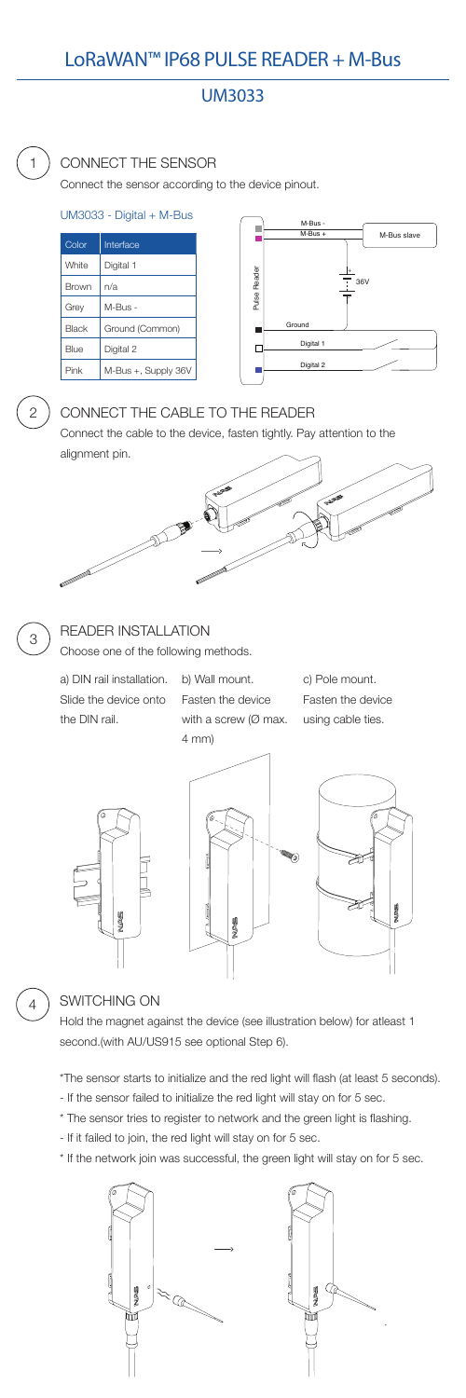# LoRaWAN™ IP68 PULSE READER + M-Bus

# UM3033

#### CONNECT THE SENSOR

Connect the sensor according to the device pinout.



| Color        | Interface           |
|--------------|---------------------|
| White        | Digital 1           |
| <b>Brown</b> | n/a                 |
| Grey         | M-Bus -             |
| Black        | Ground (Common)     |
| Blue         | Digital 2           |
| Pink         | M-Bus +, Supply 36V |

#### UM3033 - Digital + M-Bus

# CONNECT THE CABLE TO THE READER

Connect the cable to the device, fasten tightly. Pay attention to the alignment pin.



2



### READER INSTALLATION

Choose one of the following methods.

a) DIN rail installation. b) Wall mount. Slide the device onto the DIN rail.

3

Fasten the device with a screw (Ø max. 4 mm)

c) Pole mount. Fasten the device using cable ties.







#### SWITCHING ON

Hold the magnet against the device (see illustration below) for atleast 1 second.(with AU/US915 see optional Step 6).

\*The sensor starts to initialize and the red light will flash (at least 5 seconds).

- If the sensor failed to initialize the red light will stay on for 5 sec.
- \* The sensor tries to register to network and the green light is flashing.
- If it failed to join, the red light will stay on for 5 sec.
- \* If the network join was successful, the green light will stay on for 5 sec.



4